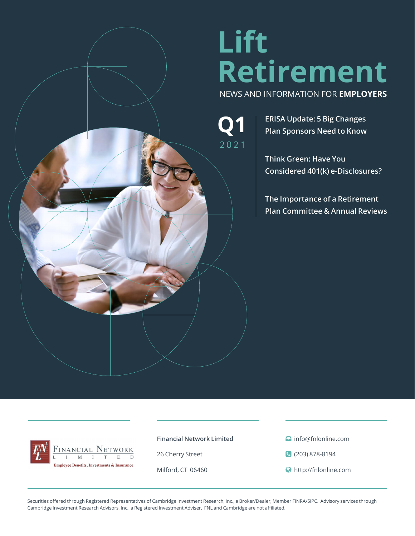# **Lift Retirement**

NEWS AND INFORMATION FOR **EMPLOYERS**

2021

**Q1 ERISA Update: 5 Big Changes Plan Sponsors Need to Know**

**Think Green: Have You Considered 401(k) e-Disclosures?**

**The Importance of a Retirement Plan Committee & Annual Reviews**



**Financial Network Limited**

26 Cherry Street

Milford, CT 06460

- **a** info@fnlonline.com
- (203) 878-8194
- http://fnlonline.com

Securities offered through Registered Representatives of Cambridge Investment Research, Inc., a Broker/Dealer, Member FINRA/SIPC. Advisory services through Cambridge Investment Research Advisors, Inc., a Registered Investment Adviser. FNL and Cambridge are not affiliated.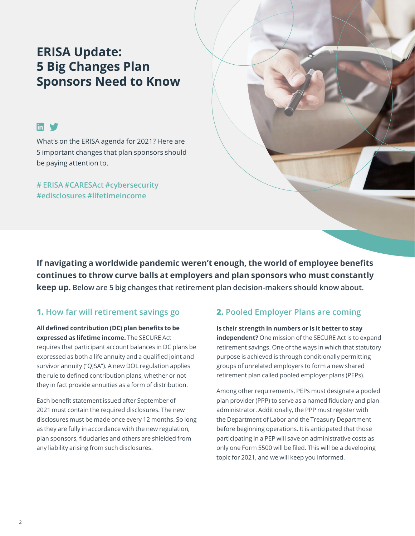## **ERISA Update: 5 Big Changes Plan Sponsors Need to Know**

### $\mathsf{m} \blacktriangleright$

What's on the ERISA agenda for 2021? Here are 5 important changes that plan sponsors should be paying attention to.

**# ERISA #CARESAct #cybersecurity #edisclosures #lifetimeincome**

**If navigating a worldwide pandemic weren't enough, the world of employee benefits continues to throw curve balls at employers and plan sponsors who must constantly keep up. Below are 5 big changes that retirement plan decision-makers should know about.** 

#### **1. How far will retirement savings go**

**All defined contribution (DC) plan benefits to be expressed as lifetime income.** The SECURE Act requires that participant account balances in DC plans be expressed as both a life annuity and a qualified joint and survivor annuity ("QJSA"). A new DOL regulation applies the rule to defined contribution plans, whether or not they in fact provide annuities as a form of distribution.

Each benefit statement issued after September of 2021 must contain the required disclosures. The new disclosures must be made once every 12 months. So long as they are fully in accordance with the new regulation, plan sponsors, fiduciaries and others are shielded from any liability arising from such disclosures.

#### **2. Pooled Employer Plans are coming**

**Is their strength in numbers or is it better to stay independent?** One mission of the SECURE Act is to expand retirement savings. One of the ways in which that statutory purpose is achieved is through conditionally permitting groups of unrelated employers to form a new shared retirement plan called pooled employer plans (PEPs).

Among other requirements, PEPs must designate a pooled plan provider (PPP) to serve as a named fiduciary and plan administrator. Additionally, the PPP must register with the Department of Labor and the Treasury Department before beginning operations. It is anticipated that those participating in a PEP will save on administrative costs as only one Form 5500 will be filed. This will be a developing topic for 2021, and we will keep you informed.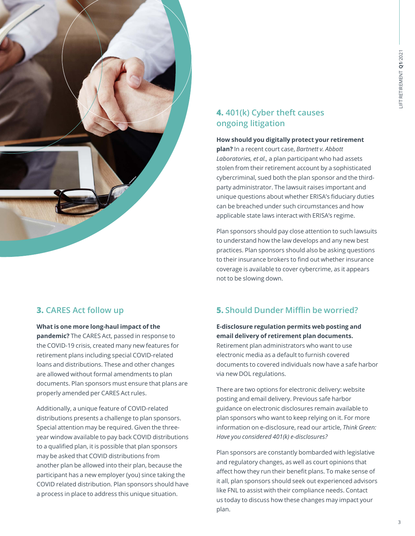

#### **4. 401(k) Cyber theft causes ongoing litigation**

**How should you digitally protect your retirement** 

**plan?** In a recent court case, *Bartnett v. Abbott Laboratories, et al.,* a plan participant who had assets stolen from their retirement account by a sophisticated cybercriminal, sued both the plan sponsor and the thirdparty administrator. The lawsuit raises important and unique questions about whether ERISA's fiduciary duties can be breached under such circumstances and how applicable state laws interact with ERISA's regime.

Plan sponsors should pay close attention to such lawsuits to understand how the law develops and any new best practices. Plan sponsors should also be asking questions to their insurance brokers to find out whether insurance coverage is available to cover cybercrime, as it appears not to be slowing down.

#### **3. CARES Act follow up**

#### **What is one more long-haul impact of the**

**pandemic?** The CARES Act, passed in response to the COVID-19 crisis, created many new features for retirement plans including special COVID-related loans and distributions. These and other changes are allowed without formal amendments to plan documents. Plan sponsors must ensure that plans are properly amended per CARES Act rules.

Additionally, a unique feature of COVID-related distributions presents a challenge to plan sponsors. Special attention may be required. Given the threeyear window available to pay back COVID distributions to a qualified plan, it is possible that plan sponsors may be asked that COVID distributions from another plan be allowed into their plan, because the participant has a new employer (you) since taking the COVID related distribution. Plan sponsors should have a process in place to address this unique situation.

#### **5. Should Dunder Mifflin be worried?**

#### **E-disclosure regulation permits web posting and email delivery of retirement plan documents.** Retirement plan administrators who want to use electronic media as a default to furnish covered documents to covered individuals now have a safe harbor via new DOL regulations.

There are two options for electronic delivery: website posting and email delivery. Previous safe harbor guidance on electronic disclosures remain available to plan sponsors who want to keep relying on it. For more information on e-disclosure, read our article, *Think Green: Have you considered 401(k) e-disclosures?*

Plan sponsors are constantly bombarded with legislative and regulatory changes, as well as court opinions that affect how they run their benefit plans. To make sense of it all, plan sponsors should seek out experienced advisors like FNL to assist with their compliance needs. Contact us today to discuss how these changes may impact your plan.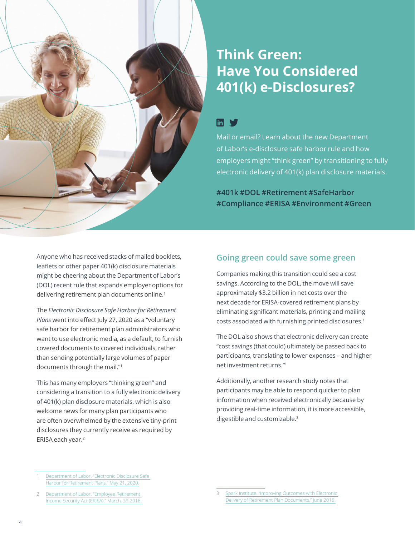# **Think Green: Have You Considered 401(k) e-Disclosures?**

### $\mathsf{Im} \blacktriangleright$

Mail or email? Learn about the new Department of Labor's e-disclosure safe harbor rule and how employers might "think green" by transitioning to fully electronic delivery of 401(k) plan disclosure materials.

**#401k #DOL #Retirement #SafeHarbor #Compliance #ERISA #Environment #Green**

Anyone who has received stacks of mailed booklets, leaflets or other paper 401(k) disclosure materials might be cheering about the Department of Labor's (DOL) recent rule that expands employer options for delivering retirement plan documents online.<sup>1</sup>

The *Electronic Disclosure Safe Harbor for Retirement Plans* went into effect July 27, 2020 as a "voluntary safe harbor for retirement plan administrators who want to use electronic media, as a default, to furnish covered documents to covered individuals, rather than sending potentially large volumes of paper documents through the mail."<sup>1</sup>

This has many employers "thinking green" and considering a transition to a fully electronic delivery of 401(k) plan disclosure materials, which is also welcome news for many plan participants who are often overwhelmed by the extensive tiny-print disclosures they currently receive as required by ERISA each year.<sup>2</sup>

#### **Going green could save some green**

Companies making this transition could see a cost savings. According to the DOL, the move will save approximately \$3.2 billion in net costs over the next decade for ERISA-covered retirement plans by eliminating significant materials, printing and mailing costs associated with furnishing printed disclosures.<sup>1</sup>

The DOL also shows that electronic delivery can create "cost savings (that could) ultimately be passed back to participants, translating to lower expenses – and higher net investment returns."<sup>1</sup>

Additionally, another research study notes that participants may be able to respond quicker to plan information when received electronically because by providing real-time information, it is more accessible, digestible and customizable.<sup>3</sup>

Department of Labor. "Electronic Disclosure Safe [Harbor for Retirement Plans." May 21, 2020.](https://www.dol.gov/agencies/ebsa/about-ebsa/our-activities/resource-center/fact-sheets/electronic-disclosure-safe-harbor-for-retirement-plans)

Department of Labor. "Employee Retirement [Income Security Act \(ERISA\)." March, 29 2016](https://www.dol.gov/general/topic/retirement/erisa).

Spark Institute. "Improving Outcomes with Electronic [Delivery of Retirement Plan Documents." June 2015.](https://www.sparkinstitute.org/content-files/improving_outcomes_with_electronic_delivery_of_retirement_plan_documents.pdf)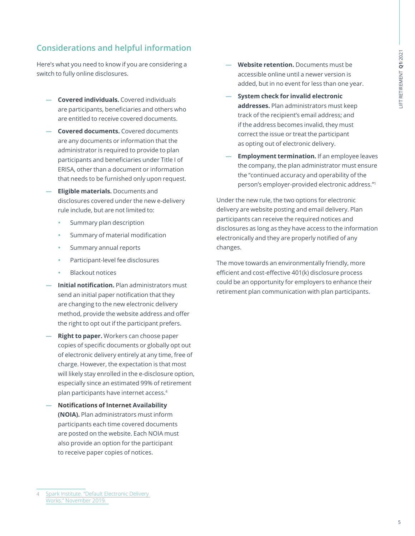#### **Considerations and helpful information**

Here's what you need to know if you are considering a switch to fully online disclosures.

- **— Covered individuals.** Covered individuals are participants, beneficiaries and others who are entitled to receive covered documents.
- **— Covered documents.** Covered documents are any documents or information that the administrator is required to provide to plan participants and beneficiaries under Title I of ERISA, other than a document or information that needs to be furnished only upon request.
- **— Eligible materials.** Documents and disclosures covered under the new e-delivery rule include, but are not limited to:
	- Summary plan description
	- Summary of material modification
	- Summary annual reports
	- Participant-level fee disclosures
	- **Blackout notices**
- **— Initial notification.** Plan administrators must send an initial paper notification that they are changing to the new electronic delivery method, provide the website address and offer the right to opt out if the participant prefers.
- **— Right to paper.** Workers can choose paper copies of specific documents or globally opt out of electronic delivery entirely at any time, free of charge. However, the expectation is that most will likely stay enrolled in the e-disclosure option, especially since an estimated 99% of retirement plan participants have internet access.4
- **— Notifications of Internet Availability (NOIA).** Plan administrators must inform participants each time covered documents are posted on the website. Each NOIA must also provide an option for the participant to receive paper copies of notices.
- **— Website retention.** Documents must be accessible online until a newer version is added, but in no event for less than one year.
- **— System check for invalid electronic addresses.** Plan administrators must keep track of the recipient's email address; and if the address becomes invalid, they must correct the issue or treat the participant as opting out of electronic delivery.
- **Employment termination.** If an employee leaves the company, the plan administrator must ensure the "continued accuracy and operability of the person's employer-provided electronic address."<sup>1</sup>

Under the new rule, the two options for electronic delivery are website posting and email delivery. Plan participants can receive the required notices and disclosures as long as they have access to the information electronically and they are properly notified of any changes.

The move towards an environmentally friendly, more efficient and cost-effective 401(k) disclosure process could be an opportunity for employers to enhance their retirement plan communication with plan participants.

<sup>4</sup> [Spark Institute. "Default Electronic Delivery](https://www.sparkinstitute.org/wp-content/uploads/2019/12/SPARK-Institute-Default-Electronic-Delivery-Works.pdf)  [Works." November 2019.](https://www.sparkinstitute.org/wp-content/uploads/2019/12/SPARK-Institute-Default-Electronic-Delivery-Works.pdf)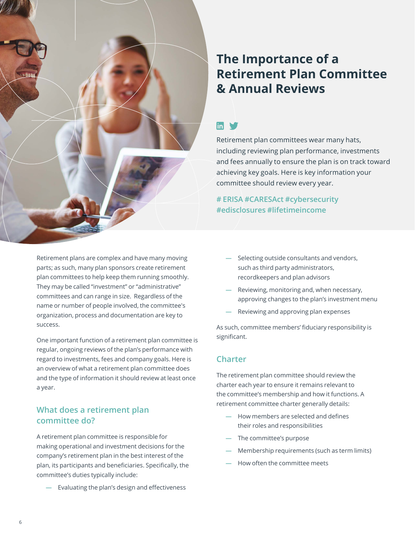

# **The Importance of a Retirement Plan Committee & Annual Reviews**

## $\mathsf{Im}\blacktriangleright$

Retirement plan committees wear many hats, including reviewing plan performance, investments and fees annually to ensure the plan is on track toward achieving key goals. Here is key information your committee should review every year.

#### **# ERISA #CARESAct #cybersecurity #edisclosures #lifetimeincome**

Retirement plans are complex and have many moving parts; as such, many plan sponsors create retirement plan committees to help keep them running smoothly. They may be called "investment" or "administrative" committees and can range in size. Regardless of the name or number of people involved, the committee's organization, process and documentation are key to success.

One important function of a retirement plan committee is regular, ongoing reviews of the plan's performance with regard to investments, fees and company goals. Here is an overview of what a retirement plan committee does and the type of information it should review at least once a year.

#### **What does a retirement plan committee do?**

A retirement plan committee is responsible for making operational and investment decisions for the company's retirement plan in the best interest of the plan, its participants and beneficiaries. Specifically, the committee's duties typically include:

**—** Evaluating the plan's design and effectiveness

- **—** Selecting outside consultants and vendors, such as third party administrators, recordkeepers and plan advisors
- **—** Reviewing, monitoring and, when necessary, approving changes to the plan's investment menu
- **—** Reviewing and approving plan expenses

As such, committee members' fiduciary responsibility is significant.

#### **Charter**

The retirement plan committee should review the charter each year to ensure it remains relevant to the committee's membership and how it functions. A retirement committee charter generally details:

- **—** How members are selected and defines their roles and responsibilities
- **—** The committee's purpose
- **—** Membership requirements (such as term limits)
- **—** How often the committee meets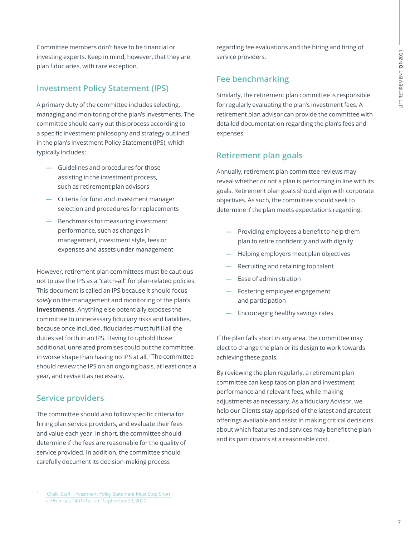Committee members don't have to be financial or investing experts. Keep in mind, however, that they are plan fiduciaries, with rare exception.

#### **Investment Policy Statement (IPS)**

A primary duty of the committee includes selecting, managing and monitoring of the plan's investments. The committee should carry out this process according to a specific investment philosophy and strategy outlined in the plan's Investment Policy Statement (IPS), which typically includes:

- **—** Guidelines and procedures for those assisting in the investment process, such as retirement plan advisors
- **—** Criteria for fund and investment manager selection and procedures for replacements
- **—** Benchmarks for measuring investment performance, such as changes in management, investment style, fees or expenses and assets under management

However, retirement plan committees must be cautious not to use the IPS as a "catch-all" for plan-related policies. This document is called an IPS because it should focus *solely* on the management and monitoring of the plan's **investments**. Anything else potentially exposes the committee to unnecessary fiduciary risks and liabilities, because once included, fiduciaries must fulfill all the duties set forth in an IPS. Having to uphold those additional, unrelated promises could put the committee in worse shape than having no IPS at all.<sup>1</sup> The committee should review the IPS on an ongoing basis, at least once a year, and revise it as necessary.

#### **Service providers**

The committee should also follow specific criteria for hiring plan service providers, and evaluate their fees and value each year. In short, the committee should determine if the fees are reasonable for the quality of service provided. In addition, the committee should carefully document its decision-making process

regarding fee evaluations and the hiring and firing of service providers.

### **Fee benchmarking**

Similarly, the retirement plan committee is responsible for regularly evaluating the plan's investment fees. A retirement plan advisor can provide the committee with detailed documentation regarding the plan's fees and expenses.

#### **Retirement plan goals**

Annually, retirement plan committee reviews may reveal whether or not a plan is performing in line with its goals. Retirement plan goals should align with corporate objectives. As such, the committee should seek to determine if the plan meets expectations regarding:

- **—** Providing employees a benefit to help them plan to retire confidently and with dignity
- **—** Helping employers meet plan objectives
- **—** Recruiting and retaining top talent
- **—** Ease of administration
- **—** Fostering employee engagement and participation
- **—** Encouraging healthy savings rates

If the plan falls short in any area, the committee may elect to change the plan or its design to work towards achieving these goals.

By reviewing the plan regularly, a retirement plan committee can keep tabs on plan and investment performance and relevant fees, while making adjustments as necessary. As a fiduciary Advisor, we help our Clients stay apprised of the latest and greatest offerings available and assist in making critical decisions about which features and services may benefit the plan and its participants at a reasonable cost.

<sup>1</sup> [Chalk, Steff. "Investment Policy Statement Must Stop Short](https://401ktv.com/investment-policy-statement-must-stop-short-of-promises/)  [of Promises." 401kTV.com. September 23, 2020](https://401ktv.com/investment-policy-statement-must-stop-short-of-promises/).